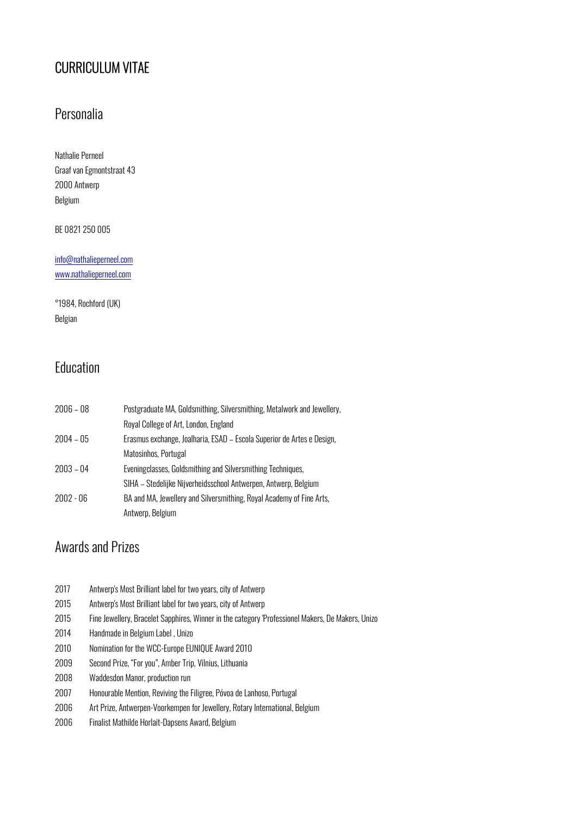# CURRICULUM VITAE

### Personalia

Nathalie Perneel Graaf van Egmontstraat 43 2000 Antwerp Belgium

BE 0821 250 005

info@nathalieperneel.com www.nathalieperneel.com

°1984, Rochford (UK) Belgian

## Education

| $2006 - 08$ | Postgraduate MA, Goldsmithing, Silversmithing, Metalwork and Jewellery, |
|-------------|-------------------------------------------------------------------------|
|             | Royal College of Art, London, England                                   |
| $2004 - 05$ | Erasmus exchange, Joalharia, ESAD - Escola Superior de Artes e Design,  |
|             | Matosinhos, Portugal                                                    |
| $2003 - 04$ | Eveningclasses, Goldsmithing and Silversmithing Techniques,             |
|             | SIHA - Stedelijke Nijverheidsschool Antwerpen, Antwerp, Belgium         |
| $2002 - 06$ | BA and MA, Jewellery and Silversmithing, Royal Academy of Fine Arts,    |
|             | Antwerp, Belgium                                                        |

#### Awards and Prizes

| 2017 | Antwerp's Most Brilliant label for two years, city of Antwerp                                     |
|------|---------------------------------------------------------------------------------------------------|
| 2015 | Antwerp's Most Brilliant label for two years, city of Antwerp                                     |
| 2015 | Fine Jewellery, Bracelet Sapphires, Winner in the category 'Professionel Makers, De Makers, Unizo |
| 2014 | Handmade in Belgium Label, Unizo                                                                  |
| 2010 | Nomination for the WCC-Europe EUNIQUE Award 2010                                                  |
| 2009 | Second Prize, "For you", Amber Trip, Vilnius, Lithuania                                           |
| 2008 | Waddesdon Manor, production run                                                                   |
| 2007 | Honourable Mention, Reviving the Filigree, Póvoa de Lanhoso, Portugal                             |
| 2006 | Art Prize, Antwerpen-Voorkempen for Jewellery, Rotary International, Belgium                      |
| 2006 | Finalist Mathilde Horlait-Dapsens Award, Belgium                                                  |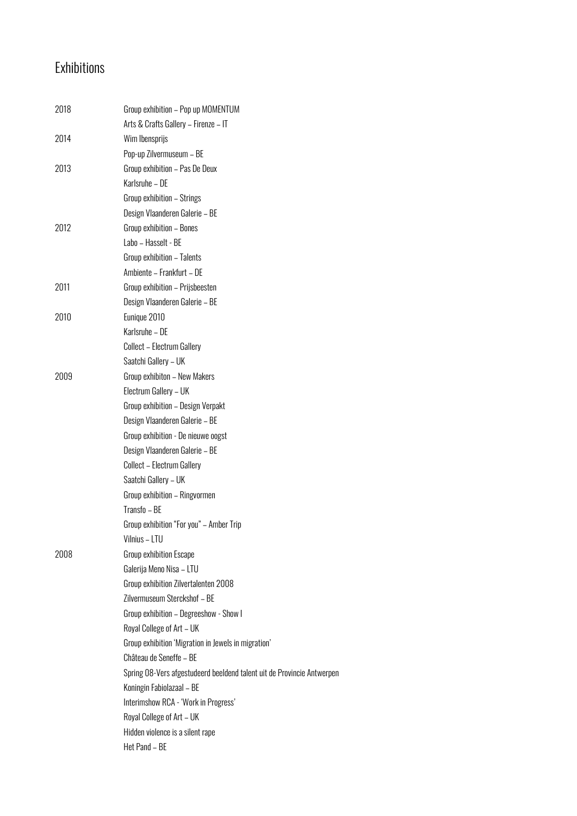# Exhibitions

| 2018 | Group exhibition - Pop up MOMENTUM                                     |
|------|------------------------------------------------------------------------|
|      | Arts & Crafts Gallery - Firenze - IT                                   |
| 2014 | Wim Ibensprijs<br>Pop-up Zilvermuseum - BE                             |
| 2013 | Group exhibition - Pas De Deux                                         |
|      | Karlsruhe - DE                                                         |
|      |                                                                        |
|      | Group exhibition - Strings                                             |
|      | Design Vlaanderen Galerie - BE                                         |
| 2012 | Group exhibition - Bones                                               |
|      | Labo - Hasselt - BE                                                    |
|      | Group exhibition - Talents                                             |
|      | Ambiente - Frankfurt - DE                                              |
| 2011 | Group exhibition - Prijsbeesten                                        |
|      | Design Vlaanderen Galerie - BE                                         |
| 2010 | Eunique 2010                                                           |
|      | Karlsruhe - DE                                                         |
|      | Collect - Electrum Gallery                                             |
|      | Saatchi Gallery - UK                                                   |
| 2009 | Group exhibiton - New Makers                                           |
|      | Electrum Gallery - UK                                                  |
|      | Group exhibition - Design Verpakt                                      |
|      | Design Vlaanderen Galerie - BE                                         |
|      | Group exhibition - De nieuwe oogst                                     |
|      | Design Vlaanderen Galerie - BE                                         |
|      | Collect - Electrum Gallery                                             |
|      | Saatchi Gallery - UK                                                   |
|      | Group exhibition - Ringvormen                                          |
|      | Transfo - BE                                                           |
|      | Group exhibition "For you" - Amber Trip                                |
|      | Vilnius - LTU                                                          |
| 2008 | Group exhibition Escape                                                |
|      | Galerija Meno Nisa - LTU                                               |
|      | Group exhibition Zilvertalenten 2008                                   |
|      | Zilvermuseum Sterckshof - BE                                           |
|      | Group exhibition - Degreeshow - Show I                                 |
|      | Royal College of Art - UK                                              |
|      | Group exhibition 'Migration in Jewels in migration'                    |
|      | Château de Seneffe - BE                                                |
|      | Spring 08-Vers afgestudeerd beeldend talent uit de Provincie Antwerpen |
|      | Koningin Fabiolazaal - BE                                              |
|      | Interimshow RCA - 'Work in Progress'                                   |
|      | Royal College of Art - UK                                              |
|      | Hidden violence is a silent rape                                       |
|      | Het Pand - BE                                                          |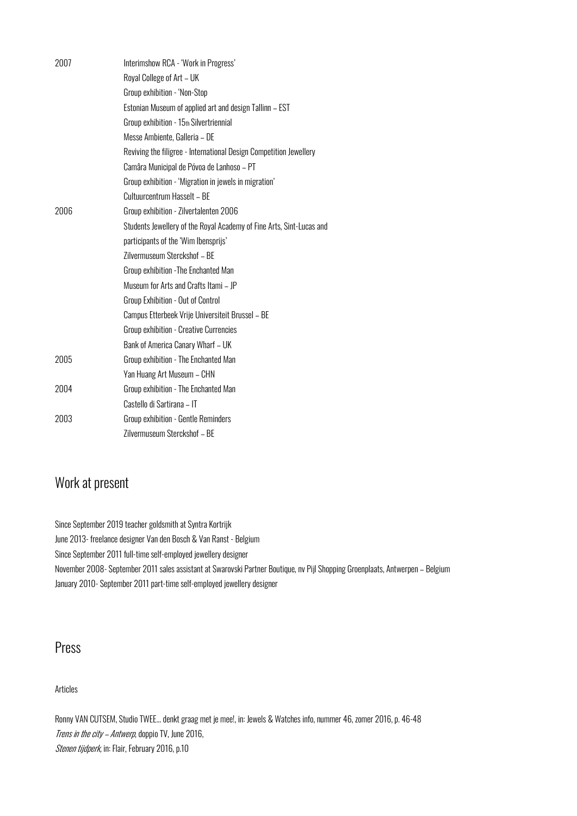| 2007 | Interimshow RCA - 'Work in Progress'                                 |
|------|----------------------------------------------------------------------|
|      | Royal College of Art - UK                                            |
|      | Group exhibition - 'Non-Stop                                         |
|      | Estonian Museum of applied art and design Tallinn - EST              |
|      | Group exhibition - 15th Silvertriennial                              |
|      | Messe Ambiente, Galleria - DE                                        |
|      | Reviving the filigree - International Design Competition Jewellery   |
|      | Camâra Municipal de Póvoa de Lanhoso - PT                            |
|      | Group exhibition - 'Migration in jewels in migration'                |
|      | Cultuurcentrum Hasselt - BE                                          |
| 2006 | Group exhibition - Zilvertalenten 2006                               |
|      | Students Jewellery of the Royal Academy of Fine Arts, Sint-Lucas and |
|      | participants of the 'Wim Ibensprijs'                                 |
|      | Zilvermuseum Sterckshof - BE                                         |
|      | Group exhibition - The Enchanted Man                                 |
|      | Museum for Arts and Crafts Itami - JP                                |
|      | Group Exhibition - Out of Control                                    |
|      | Campus Etterbeek Vrije Universiteit Brussel - BE                     |
|      | Group exhibition - Creative Currencies                               |
|      | Bank of America Canary Wharf - UK                                    |
| 2005 | Group exhibition - The Enchanted Man                                 |
|      | Yan Huang Art Museum - CHN                                           |
| 2004 | Group exhibition - The Enchanted Man                                 |
|      | Castello di Sartirana - IT                                           |
| 2003 | Group exhibition - Gentle Reminders                                  |
|      | Zilvermuseum Sterckshof - BE                                         |

#### Work at present

Since September 2019 teacher goldsmith at Syntra Kortrijk June 2013- freelance designer Van den Bosch & Van Ranst - Belgium Since September 2011 full-time self-employed jewellery designer November 2008- September 2011 sales assistant at Swarovski Partner Boutique, nv Pijl Shopping Groenplaats, Antwerpen – Belgium January 2010- September 2011 part-time self-employed jewellery designer

#### Press

Articles

Ronny VAN CUTSEM, Studio TWEE... denkt graag met je mee!, in: Jewels & Watches info, nummer 46, zomer 2016, p. 46-48 Trens in the city - Antwerp, doppio TV, June 2016, Stenen tijdperk, in: Flair, February 2016, p.10